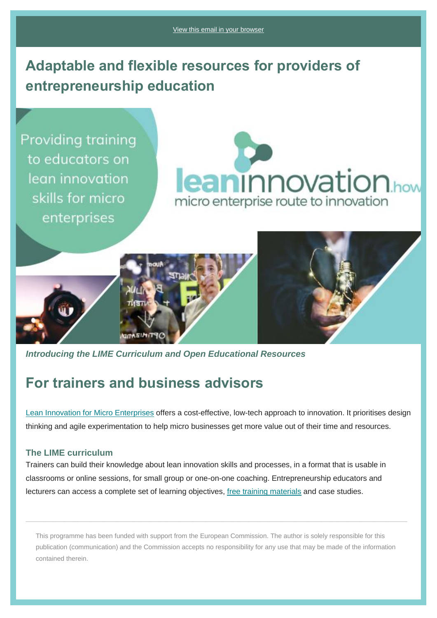# **Adaptable and flexible resources for providers of entrepreneurship education**

**Providing training** to educators on lean innovation skills for micro enterprises





*Introducing the LIME Curriculum and Open Educational Resources*

## **For trainers and business advisors**

[Lean Innovation for Micro Enterprises](https://nationalenterprisenetwork.us19.list-manage.com/track/click?u=f1b152efca9acae67ef81298a&id=ced4e6659d&e=2aa58caa78) offers a cost-effective, low-tech approach to innovation. It prioritises design thinking and agile experimentation to help micro businesses get more value out of their time and resources.

#### **The LIME curriculum**

Trainers can build their knowledge about lean innovation skills and processes, in a format that is usable in classrooms or online sessions, for small group or one-on-one coaching. Entrepreneurship educators and lecturers can access a complete set of learning objectives, [free training materials](https://nationalenterprisenetwork.us19.list-manage.com/track/click?u=f1b152efca9acae67ef81298a&id=708584767d&e=2aa58caa78) and case studies.

This programme has been funded with support from the European Commission. The author is solely responsible for this publication (communication) and the Commission accepts no responsibility for any use that may be made of the information contained therein.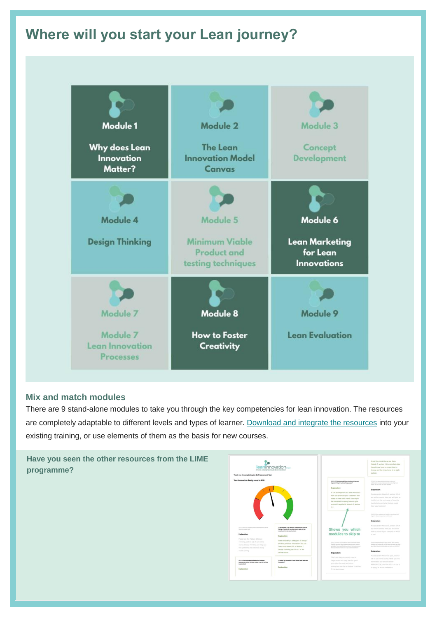# **Where will you start your Lean journey?**

| <b>Module 1</b><br>Why does Lean<br>Innovation<br>Matter?          | Module 2<br>The Lean<br><b>Innovation Model</b><br><b>Canvas</b>       | Module 3<br>Concept<br><b>Development</b>                           |
|--------------------------------------------------------------------|------------------------------------------------------------------------|---------------------------------------------------------------------|
| Module 4<br><b>Design Thinking</b>                                 | Module 5<br>Minimum Viable<br><b>Product and</b><br>testing techniques | Module 6<br><b>Lean Marketing</b><br>for Lean<br><b>Innovations</b> |
| Module 7<br>Module 7<br><b>Lean Innovation</b><br><b>Processes</b> | Module 8<br><b>How to Foster</b><br>Creativity                         | Module 9<br><b>Lean Evaluation</b>                                  |

#### **Mix and match modules**

There are 9 stand-alone modules to take you through the key competencies for lean innovation. The resources are completely adaptable to different levels and types of learner. [Download and integrate the resources](https://nationalenterprisenetwork.us19.list-manage.com/track/click?u=f1b152efca9acae67ef81298a&id=968e8d0bd5&e=2aa58caa78) into your existing training, or use elements of them as the basis for new courses.